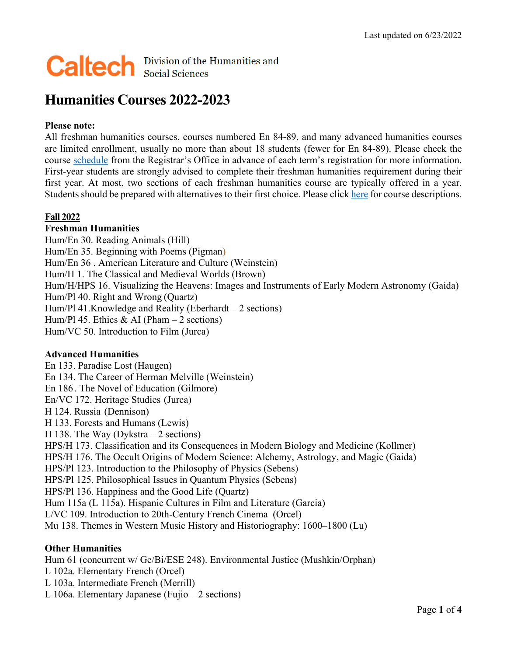# **Caltech Division of the Humanities and**

# **Humanities Courses 2022-2023**

# **Please note:**

All freshman humanities courses, courses numbered En 84-89, and many advanced humanities courses are limited enrollment, usually no more than about 18 students (fewer for En 84-89). Please check the course [schedule](http://www.registrar.caltech.edu/calendars) from the Registrar's Office in advance of each term's registration for more information. First-year students are strongly advised to complete their freshman humanities requirement during their first year. At most, two sections of each freshman humanities course are typically offered in a year. Students should be prepared with alternatives to their first choice. Please click [here](https://catalog.caltech.edu/current/courses) for course descriptions.

# **Fall 2022**

#### **Freshman Humanities**

Hum/En 30. Reading Animals (Hill) Hum/En 35. Beginning with Poems (Pigman) Hum/En 36 . American Literature and Culture (Weinstein) Hum/H 1. The Classical and Medieval Worlds (Brown) Hum/H/HPS 16. Visualizing the Heavens: Images and Instruments of Early Modern Astronomy (Gaida) Hum/Pl 40. Right and Wrong (Quartz) Hum/Pl 41.Knowledge and Reality (Eberhardt – 2 sections) Hum/Pl 45. Ethics & AI (Pham  $-2$  sections) Hum/VC 50. Introduction to Film (Jurca)

#### **Advanced Humanities**

En 133. Paradise Lost (Haugen) En 134. The Career of Herman Melville (Weinstein) En 186 . The Novel of Education (Gilmore) En/VC 172. Heritage Studies (Jurca) H 124. Russia (Dennison) H 133. Forests and Humans (Lewis) H 138. The Way (Dykstra – 2 sections) HPS/H 173. Classification and its Consequences in Modern Biology and Medicine (Kollmer) HPS/H 176. The Occult Origins of Modern Science: Alchemy, Astrology, and Magic (Gaida) HPS/Pl 123. Introduction to the Philosophy of Physics (Sebens) HPS/Pl 125. Philosophical Issues in Quantum Physics (Sebens) HPS/Pl 136. Happiness and the Good Life (Quartz) Hum 115a (L 115a). Hispanic Cultures in Film and Literature (Garcia) L/VC 109. Introduction to 20th-Century French Cinema (Orcel) Mu 138. Themes in Western Music History and Historiography: 1600–1800 (Lu)

#### **Other Humanities**

Hum 61 (concurrent w/ Ge/Bi/ESE 248). Environmental Justice (Mushkin/Orphan) L 102a. Elementary French (Orcel) L 103a. Intermediate French (Merrill) L 106a. Elementary Japanese (Fujio – 2 sections)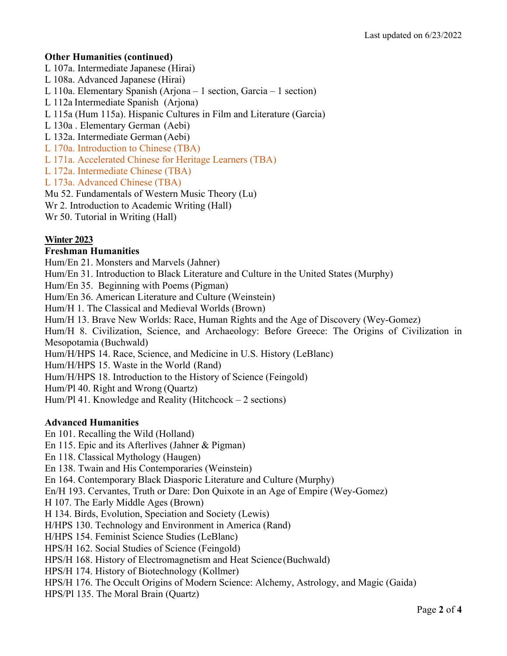# **Other Humanities (continued)**

- L 107a. Intermediate Japanese (Hirai)
- L 108a. Advanced Japanese (Hirai)
- L 110a. Elementary Spanish (Arjona 1 section, Garcia 1 section)
- L 112a Intermediate Spanish (Arjona)
- L 115a (Hum 115a). Hispanic Cultures in Film and Literature (Garcia)
- L 130a . Elementary German (Aebi)
- L 132a. Intermediate German (Aebi)
- L 170a. Introduction to Chinese (TBA)
- L 171a. Accelerated Chinese for Heritage Learners (TBA)
- L 172a. Intermediate Chinese (TBA)
- L 173a. Advanced Chinese (TBA)
- Mu 52. Fundamentals of Western Music Theory (Lu)
- Wr 2. Introduction to Academic Writing (Hall)
- Wr 50. Tutorial in Writing (Hall)

# **Winter 2023**

#### **Freshman Humanities**

Hum/En 21. Monsters and Marvels (Jahner) Hum/En 31. Introduction to Black Literature and Culture in the United States (Murphy) Hum/En 35. Beginning with Poems (Pigman) Hum/En 36. American Literature and Culture (Weinstein) Hum/H 1. The Classical and Medieval Worlds (Brown) Hum/H 13. Brave New Worlds: Race, Human Rights and the Age of Discovery (Wey-Gomez) Hum/H 8. Civilization, Science, and Archaeology: Before Greece: The Origins of Civilization in Mesopotamia (Buchwald) Hum/H/HPS 14. Race, Science, and Medicine in U.S. History (LeBlanc) Hum/H/HPS 15. Waste in the World (Rand) Hum/H/HPS 18. Introduction to the History of Science (Feingold) Hum/Pl 40. Right and Wrong (Quartz) Hum/Pl 41. Knowledge and Reality (Hitchcock – 2 sections)

#### **Advanced Humanities**

En 101. Recalling the Wild (Holland) En 115. Epic and its Afterlives (Jahner & Pigman) En 118. Classical Mythology (Haugen) En 138. Twain and His Contemporaries (Weinstein) En 164. Contemporary Black Diasporic Literature and Culture (Murphy) En/H 193. Cervantes, Truth or Dare: Don Quixote in an Age of Empire (Wey-Gomez) H 107. The Early Middle Ages (Brown) H 134. Birds, Evolution, Speciation and Society (Lewis) H/HPS 130. Technology and Environment in America (Rand) H/HPS 154. Feminist Science Studies (LeBlanc) HPS/H 162. Social Studies of Science (Feingold) HPS/H 168. History of Electromagnetism and Heat Science (Buchwald) HPS/H 174. History of Biotechnology (Kollmer) HPS/H 176. The Occult Origins of Modern Science: Alchemy, Astrology, and Magic (Gaida) HPS/Pl 135. The Moral Brain (Quartz)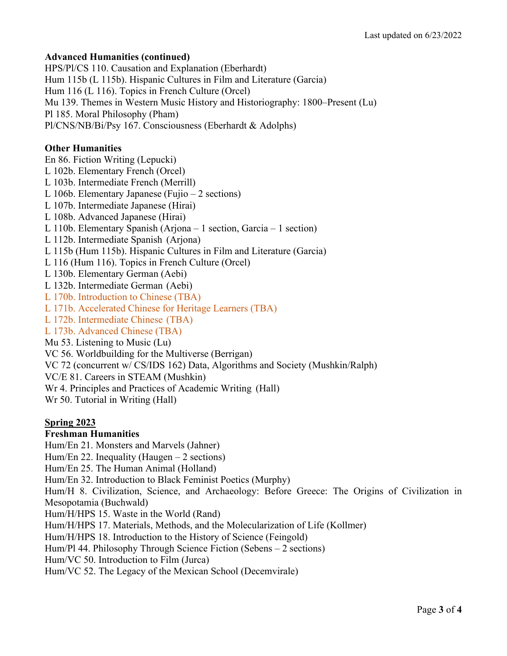### **Advanced Humanities (continued)**

HPS/Pl/CS 110. Causation and Explanation (Eberhardt) Hum 115b (L 115b). Hispanic Cultures in Film and Literature (Garcia) Hum 116 (L 116). Topics in French Culture (Orcel) Mu 139. Themes in Western Music History and Historiography: 1800–Present (Lu) Pl 185. Moral Philosophy (Pham) Pl/CNS/NB/Bi/Psy 167. Consciousness (Eberhardt & Adolphs)

# **Other Humanities**

En 86. Fiction Writing (Lepucki) L 102b. Elementary French (Orcel) L 103b. Intermediate French (Merrill) L 106b. Elementary Japanese (Fujio – 2 sections) L 107b. Intermediate Japanese (Hirai) L 108b. Advanced Japanese (Hirai) L 110b. Elementary Spanish (Arjona – 1 section, Garcia – 1 section) L 112b. Intermediate Spanish (Arjona) L 115b (Hum 115b). Hispanic Cultures in Film and Literature (Garcia) L 116 (Hum 116). Topics in French Culture (Orcel) L 130b. Elementary German (Aebi) L 132b. Intermediate German (Aebi) L 170b. Introduction to Chinese (TBA) L 171b. Accelerated Chinese for Heritage Learners (TBA) L 172b. Intermediate Chinese (TBA) L 173b. Advanced Chinese (TBA) Mu 53. Listening to Music (Lu) VC 56. Worldbuilding for the Multiverse (Berrigan) VC 72 (concurrent w/ CS/IDS 162) Data, Algorithms and Society (Mushkin/Ralph)

VC/E 81. Careers in STEAM (Mushkin)

Wr 4. Principles and Practices of Academic Writing (Hall)

Wr 50. Tutorial in Writing (Hall)

#### **Spring 2023**

#### **Freshman Humanities**

Hum/En 21. Monsters and Marvels (Jahner)

Hum/En 22. Inequality (Haugen  $-2$  sections)

Hum/En 25. The Human Animal (Holland)

Hum/En 32. Introduction to Black Feminist Poetics (Murphy)

Hum/H 8. Civilization, Science, and Archaeology: Before Greece: The Origins of Civilization in Mesopotamia (Buchwald)

Hum/H/HPS 15. Waste in the World (Rand)

Hum/H/HPS 17. Materials, Methods, and the Molecularization of Life (Kollmer)

Hum/H/HPS 18. Introduction to the History of Science (Feingold)

Hum/Pl 44. Philosophy Through Science Fiction (Sebens – 2 sections)

Hum/VC 50. Introduction to Film (Jurca)

Hum/VC 52. The Legacy of the Mexican School (Decemvirale)